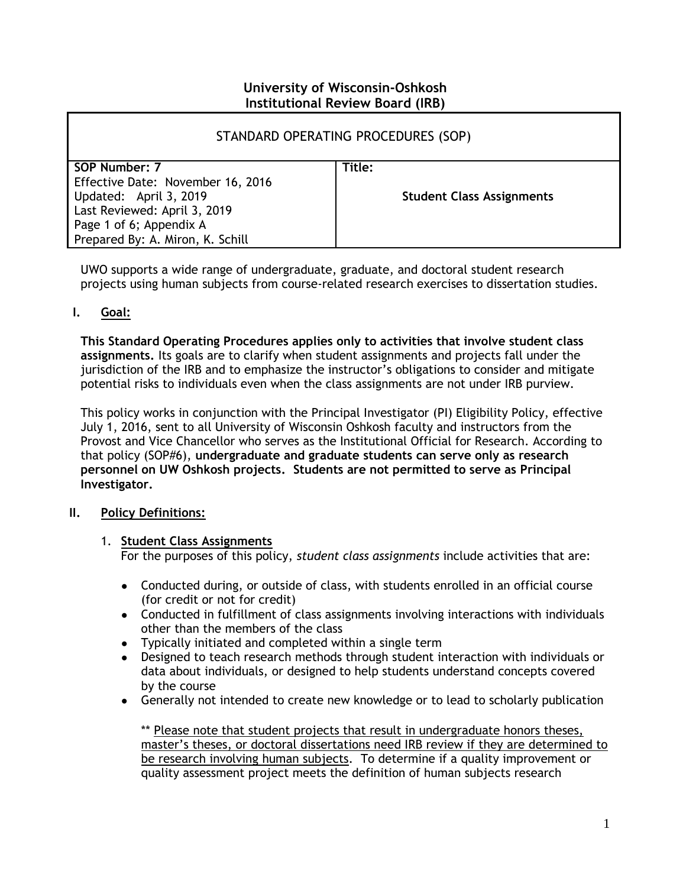## **University of Wisconsin-Oshkosh Institutional Review Board (IRB)**

| STANDARD OPERATING PROCEDURES (SOP) |                                  |
|-------------------------------------|----------------------------------|
| SOP Number: 7                       | Title:                           |
| Effective Date: November 16, 2016   |                                  |
| Updated: April 3, 2019              | <b>Student Class Assignments</b> |
| Last Reviewed: April 3, 2019        |                                  |
| Page 1 of 6; Appendix A             |                                  |
| Prepared By: A. Miron, K. Schill    |                                  |

UWO supports a wide range of undergraduate, graduate, and doctoral student research projects using human subjects from course-related research exercises to dissertation studies.

**I. Goal:**

**This Standard Operating Procedures applies only to activities that involve student class assignments.** Its goals are to clarify when student assignments and projects fall under the jurisdiction of the IRB and to emphasize the instructor's obligations to consider and mitigate potential risks to individuals even when the class assignments are not under IRB purview.

This policy works in conjunction with the Principal Investigator (PI) Eligibility Policy, effective July 1, 2016, sent to all University of Wisconsin Oshkosh faculty and instructors from the Provost and Vice Chancellor who serves as the Institutional Official for Research. According to that policy (SOP#6), **undergraduate and graduate students can serve only as research personnel on UW Oshkosh projects. Students are not permitted to serve as Principal Investigator.**

### **II. Policy Definitions:**

### 1. **Student Class Assignments**

For the purposes of this policy, *student class assignments* include activities that are:

- Conducted during, or outside of class, with students enrolled in an official course (for credit or not for credit)
- Conducted in fulfillment of class assignments involving interactions with individuals other than the members of the class
- Typically initiated and completed within a single term
- Designed to teach research methods through student interaction with individuals or data about individuals, or designed to help students understand concepts covered by the course
- Generally not intended to create new knowledge or to lead to scholarly publication

\*\* Please note that student projects that result in undergraduate honors theses, master's theses, or doctoral dissertations need IRB review if they are determined to be research involving human subjects. To determine if a quality improvement or quality assessment project meets the definition of human subjects research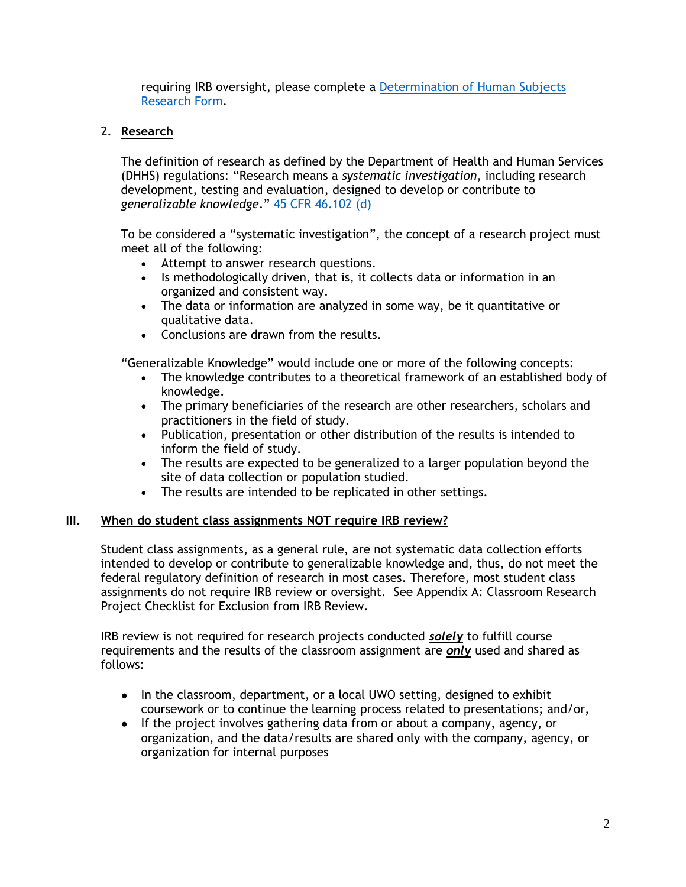requiring IRB oversight, please complete a [Determination of Human Subjects](https://uwosh.edu/sponsoredprograms/irb/forms/)  [Research Form.](https://uwosh.edu/sponsoredprograms/irb/forms/)

# 2. **Research**

The definition of research as defined by the Department of Health and Human Services (DHHS) regulations: "Research means a *systematic investigation*, including research development, testing and evaluation, designed to develop or contribute to *generalizable knowledge*." [45 CFR 46.102 \(d\)](http://www.hhs.gov/ohrp/regulations-and-policy/regulations/45-cfr-46/index.html#46.102)

To be considered a "systematic investigation", the concept of a research project must meet all of the following:

- Attempt to answer research questions.
- Is methodologically driven, that is, it collects data or information in an organized and consistent way.
- The data or information are analyzed in some way, be it quantitative or qualitative data.
- Conclusions are drawn from the results.

"Generalizable Knowledge" would include one or more of the following concepts:

- The knowledge contributes to a theoretical framework of an established body of knowledge.
- The primary beneficiaries of the research are other researchers, scholars and practitioners in the field of study.
- Publication, presentation or other distribution of the results is intended to inform the field of study.
- The results are expected to be generalized to a larger population beyond the site of data collection or population studied.
- The results are intended to be replicated in other settings.

## **III. When do student class assignments NOT require IRB review?**

Student class assignments, as a general rule, are not systematic data collection efforts intended to develop or contribute to generalizable knowledge and, thus, do not meet the federal regulatory definition of research in most cases. Therefore, most student class assignments do not require IRB review or oversight. See Appendix A: Classroom Research Project Checklist for Exclusion from IRB Review.

IRB review is not required for research projects conducted *solely* to fulfill course requirements and the results of the classroom assignment are *only* used and shared as follows:

- In the classroom, department, or a local UWO setting, designed to exhibit coursework or to continue the learning process related to presentations; and/or,
- If the project involves gathering data from or about a company, agency, or organization, and the data/results are shared only with the company, agency, or organization for internal purposes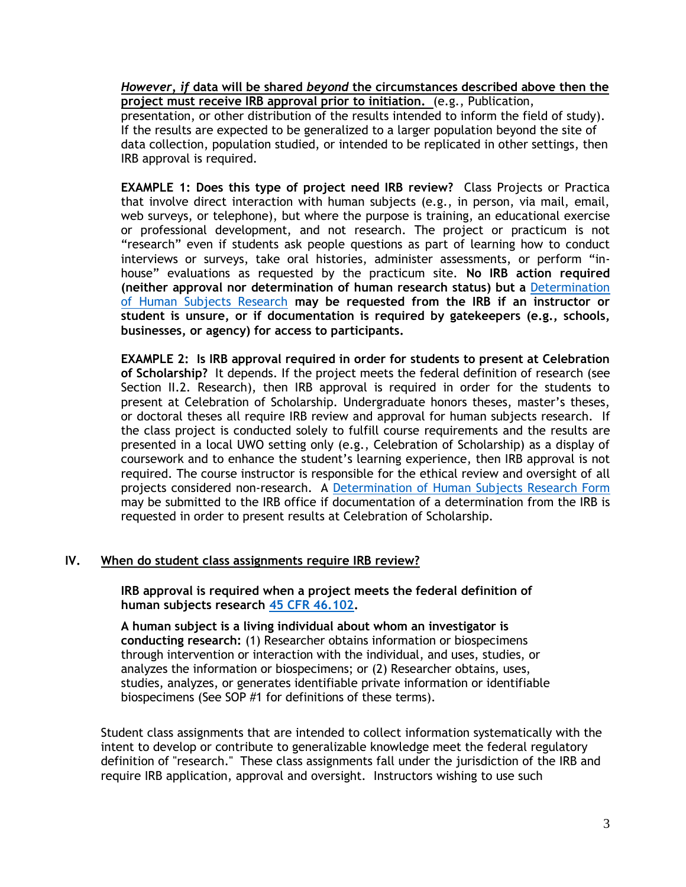*However, if* **data will be shared** *beyond* **the circumstances described above then the project must receive IRB approval prior to initiation.** (e.g., Publication,

presentation, or other distribution of the results intended to inform the field of study). If the results are expected to be generalized to a larger population beyond the site of data collection, population studied, or intended to be replicated in other settings, then IRB approval is required.

**EXAMPLE 1: Does this type of project need IRB review?** Class Projects or Practica that involve direct interaction with human subjects (e.g., in person, via mail, email, web surveys, or telephone), but where the purpose is training, an educational exercise or professional development, and not research. The project or practicum is not "research" even if students ask people questions as part of learning how to conduct interviews or surveys, take oral histories, administer assessments, or perform "inhouse" evaluations as requested by the practicum site. **No IRB action required (neither approval nor determination of human research status) but a** [Determination](https://uwosh.edu/sponsoredprograms/irb/forms/)  [of Human Subjects Research](https://uwosh.edu/sponsoredprograms/irb/forms/) **may be requested from the IRB if an instructor or student is unsure, or if documentation is required by gatekeepers (e.g., schools, businesses, or agency) for access to participants.** 

**EXAMPLE 2: Is IRB approval required in order for students to present at Celebration of Scholarship?** It depends. If the project meets the federal definition of research (see Section II.2. Research), then IRB approval is required in order for the students to present at Celebration of Scholarship. Undergraduate honors theses, master's theses, or doctoral theses all require IRB review and approval for human subjects research. If the class project is conducted solely to fulfill course requirements and the results are presented in a local UWO setting only (e.g., Celebration of Scholarship) as a display of coursework and to enhance the student's learning experience, then IRB approval is not required. The course instructor is responsible for the ethical review and oversight of all projects considered non-research. A [Determination of Human Subjects Research Form](https://uwosh.edu/sponsoredprograms/irb/forms/) may be submitted to the IRB office if documentation of a determination from the IRB is requested in order to present results at Celebration of Scholarship.

### **IV. When do student class assignments require IRB review?**

**IRB approval is required when a project meets the federal definition of human subjects research [45 CFR 46.102.](http://www.hhs.gov/ohrp/regulations-and-policy/regulations/45-cfr-46/#46.102)**

**A human subject is a living individual about whom an investigator is conducting research:** (1) Researcher obtains information or biospecimens through intervention or interaction with the individual, and uses, studies, or analyzes the information or biospecimens; or (2) Researcher obtains, uses, studies, analyzes, or generates identifiable private information or identifiable biospecimens (See SOP #1 for definitions of these terms).

Student class assignments that are intended to collect information systematically with the intent to develop or contribute to generalizable knowledge meet the federal regulatory definition of "research." These class assignments fall under the jurisdiction of the IRB and require IRB application, approval and oversight. Instructors wishing to use such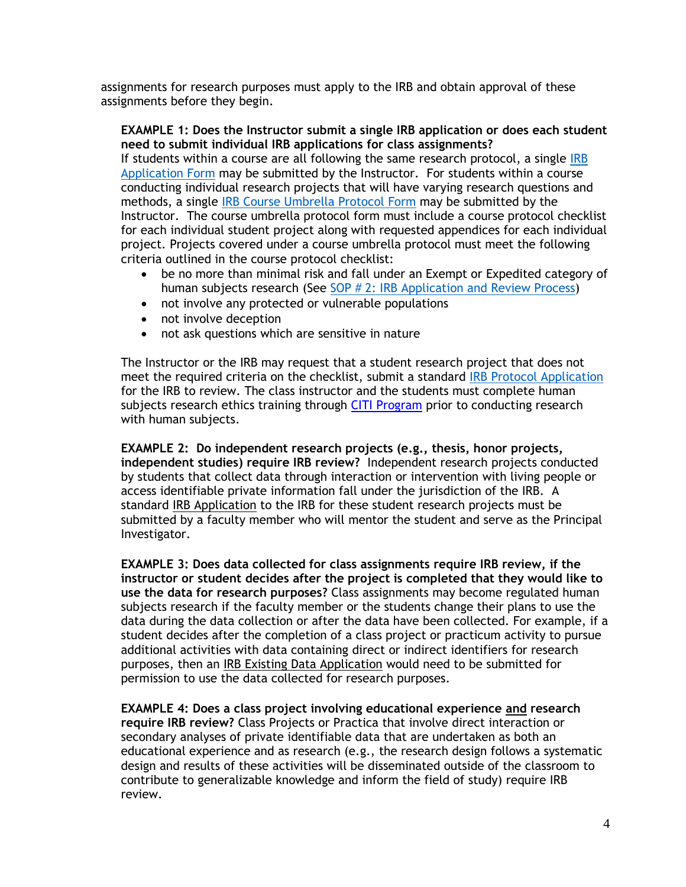assignments for research purposes must apply to the IRB and obtain approval of these assignments before they begin.

### **EXAMPLE 1: Does the Instructor submit a single IRB application or does each student need to submit individual IRB applications for class assignments?**

If students within a course are all following the same research protocol, a single IRB [Application](https://uwosh.edu/sponsoredprograms/irb/forms/) Form may be submitted by the Instructor. For students within a course conducting individual research projects that will have varying research questions and methods, a single [IRB Course Umbrella Protocol](https://uwosh.edu/sponsoredprograms/irb/forms/) Form may be submitted by the Instructor. The course umbrella protocol form must include a course protocol checklist for each individual student project along with requested appendices for each individual project. Projects covered under a course umbrella protocol must meet the following criteria outlined in the course protocol checklist:

- be no more than minimal risk and fall under an Exempt or Expedited category of human subjects research (See SOP # [2: IRB Application and Review Process\)](https://uwosh.edu/sponsoredprograms/irb/sops/)
- not involve any protected or vulnerable populations
- not involve deception
- not ask questions which are sensitive in nature

The Instructor or the IRB may request that a student research project that does not meet the required criteria on the checklist, submit a standard [IRB Protocol Application](http://www.uwosh.edu/grants/forms) for the IRB to review. The class instructor and the students must complete human subjects research ethics training through [CITI Program](https://www.citiprogram.org/) prior to conducting research with human subjects.

**EXAMPLE 2: Do independent research projects (e.g., thesis, honor projects, independent studies) require IRB review?** Independent research projects conducted by students that collect data through interaction or intervention with living people or access identifiable private information fall under the jurisdiction of the IRB. A standard IRB Application to the IRB for these student research projects must be submitted by a faculty member who will mentor the student and serve as the Principal Investigator.

**EXAMPLE 3: Does data collected for class assignments require IRB review, if the instructor or student decides after the project is completed that they would like to use the data for research purposes?** Class assignments may become regulated human subjects research if the faculty member or the students change their plans to use the data during the data collection or after the data have been collected. For example, if a student decides after the completion of a class project or practicum activity to pursue additional activities with data containing direct or indirect identifiers for research purposes, then an IRB Existing Data Application would need to be submitted for permission to use the data collected for research purposes.

**EXAMPLE 4: Does a class project involving educational experience and research require IRB review?** Class Projects or Practica that involve direct interaction or secondary analyses of private identifiable data that are undertaken as both an educational experience and as research (e.g., the research design follows a systematic design and results of these activities will be disseminated outside of the classroom to contribute to generalizable knowledge and inform the field of study) require IRB review.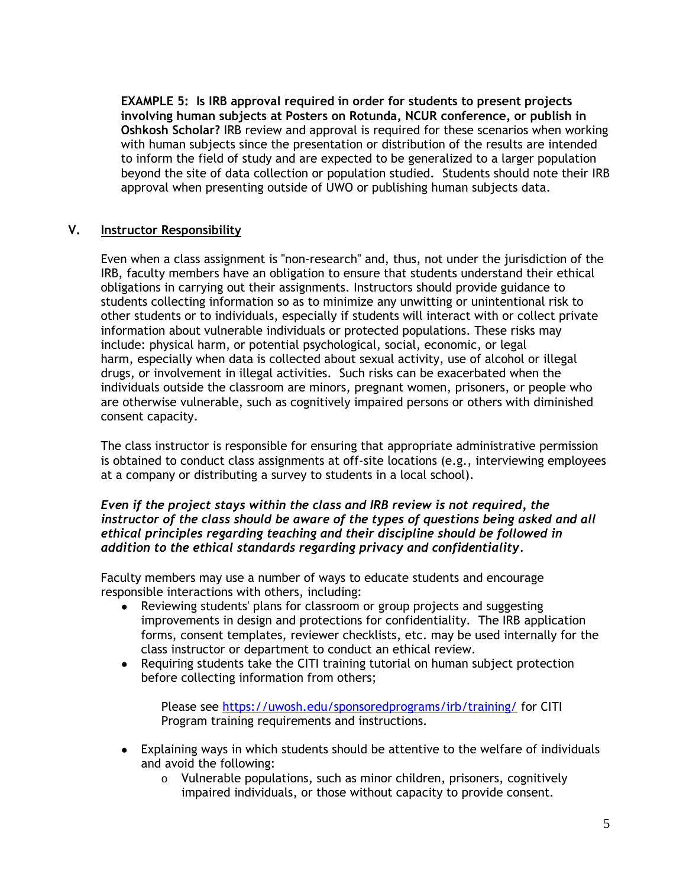**EXAMPLE 5: Is IRB approval required in order for students to present projects involving human subjects at Posters on Rotunda, NCUR conference, or publish in Oshkosh Scholar?** IRB review and approval is required for these scenarios when working with human subjects since the presentation or distribution of the results are intended to inform the field of study and are expected to be generalized to a larger population beyond the site of data collection or population studied. Students should note their IRB approval when presenting outside of UWO or publishing human subjects data.

### **V. Instructor Responsibility**

Even when a class assignment is "non-research" and, thus, not under the jurisdiction of the IRB, faculty members have an obligation to ensure that students understand their ethical obligations in carrying out their assignments. Instructors should provide guidance to students collecting information so as to minimize any unwitting or unintentional risk to other students or to individuals, especially if students will interact with or collect private information about vulnerable individuals or protected populations. These risks may include: physical harm, or potential psychological, social, economic, or legal harm, especially when data is collected about sexual activity, use of alcohol or illegal drugs, or involvement in illegal activities. Such risks can be exacerbated when the individuals outside the classroom are minors, pregnant women, prisoners, or people who are otherwise vulnerable, such as cognitively impaired persons or others with diminished consent capacity.

The class instructor is responsible for ensuring that appropriate administrative permission is obtained to conduct class assignments at off-site locations (e.g., interviewing employees at a company or distributing a survey to students in a local school).

#### *Even if the project stays within the class and IRB review is not required, the instructor of the class should be aware of the types of questions being asked and all ethical principles regarding teaching and their discipline should be followed in addition to the ethical standards regarding privacy and confidentiality.*

Faculty members may use a number of ways to educate students and encourage responsible interactions with others, including:

- Reviewing students' plans for classroom or group projects and suggesting improvements in design and protections for confidentiality. The IRB application forms, consent templates, reviewer checklists, etc. may be used internally for the class instructor or department to conduct an ethical review.
- Requiring students take the CITI training tutorial on human subject protection before collecting information from others;

Please see <https://uwosh.edu/sponsoredprograms/irb/training/> for CITI Program training requirements and instructions.

- Explaining ways in which students should be attentive to the welfare of individuals and avoid the following:
	- o Vulnerable populations, such as minor children, prisoners, cognitively impaired individuals, or those without capacity to provide consent.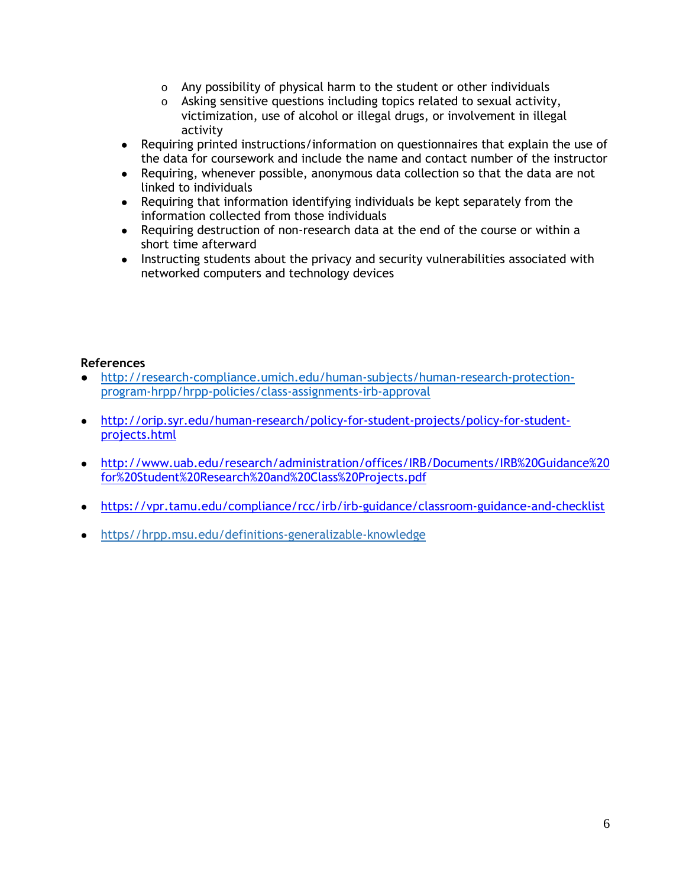- o Any possibility of physical harm to the student or other individuals
- o Asking sensitive questions including topics related to sexual activity, victimization, use of alcohol or illegal drugs, or involvement in illegal activity
- Requiring printed instructions/information on questionnaires that explain the use of the data for coursework and include the name and contact number of the instructor
- Requiring, whenever possible, anonymous data collection so that the data are not linked to individuals
- Requiring that information identifying individuals be kept separately from the information collected from those individuals
- Requiring destruction of non-research data at the end of the course or within a short time afterward
- Instructing students about the privacy and security vulnerabilities associated with networked computers and technology devices

### **References**

- [http://research-compliance.umich.edu/human-subjects/human-research-protection](http://research-compliance.umich.edu/human-subjects/human-research-protection-program-hrpp/hrpp-policies/class-assignments-irb-approval)[program-hrpp/hrpp-policies/class-assignments-irb-approval](http://research-compliance.umich.edu/human-subjects/human-research-protection-program-hrpp/hrpp-policies/class-assignments-irb-approval)
- [http://orip.syr.edu/human-research/policy-for-student-projects/policy-for-student](http://orip.syr.edu/human-research/policy-for-student-projects/policy-for-student-projects.html)[projects.html](http://orip.syr.edu/human-research/policy-for-student-projects/policy-for-student-projects.html)
- [http://www.uab.edu/research/administration/offices/IRB/Documents/IRB%20Guidance%20](http://www.uab.edu/research/administration/offices/IRB/Documents/IRB%20Guidance%20for%20Student%20Research%20and%20Class%20Projects.pdf) [for%20Student%20Research%20and%20Class%20Projects.pdf](http://www.uab.edu/research/administration/offices/IRB/Documents/IRB%20Guidance%20for%20Student%20Research%20and%20Class%20Projects.pdf)
- <https://vpr.tamu.edu/compliance/rcc/irb/irb-guidance/classroom-guidance-and-checklist>
- [https//hrpp.msu.edu/definitions-generalizable-knowledge](https://hrpp.msu.edu/definitions-generalizable-knowledge)